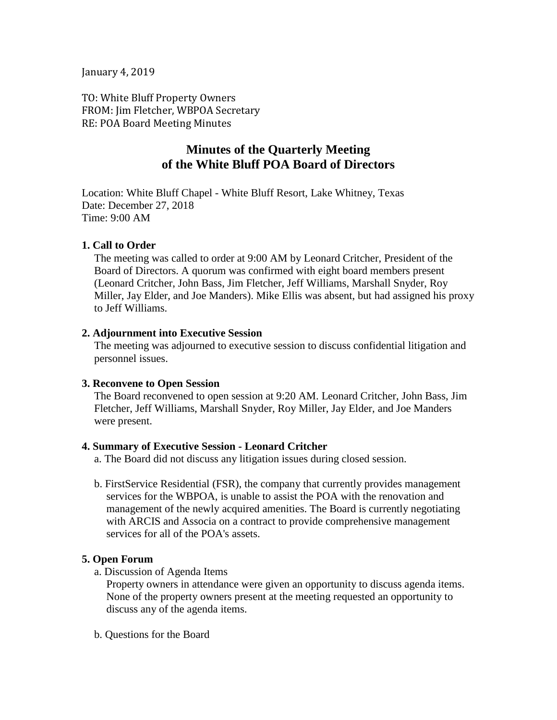#### January 4, 2019

TO: White Bluff Property Owners FROM: Jim Fletcher, WBPOA Secretary RE: POA Board Meeting Minutes

# **Minutes of the Quarterly Meeting of the White Bluff POA Board of Directors**

Location: White Bluff Chapel - White Bluff Resort, Lake Whitney, Texas Date: December 27, 2018 Time: 9:00 AM

#### **1. Call to Order**

The meeting was called to order at 9:00 AM by Leonard Critcher, President of the Board of Directors. A quorum was confirmed with eight board members present (Leonard Critcher, John Bass, Jim Fletcher, Jeff Williams, Marshall Snyder, Roy Miller, Jay Elder, and Joe Manders). Mike Ellis was absent, but had assigned his proxy to Jeff Williams.

#### **2. Adjournment into Executive Session**

The meeting was adjourned to executive session to discuss confidential litigation and personnel issues.

#### **3. Reconvene to Open Session**

The Board reconvened to open session at 9:20 AM. Leonard Critcher, John Bass, Jim Fletcher, Jeff Williams, Marshall Snyder, Roy Miller, Jay Elder, and Joe Manders were present.

#### **4. Summary of Executive Session - Leonard Critcher**

a. The Board did not discuss any litigation issues during closed session.

b. FirstService Residential (FSR), the company that currently provides management services for the WBPOA, is unable to assist the POA with the renovation and management of the newly acquired amenities. The Board is currently negotiating with ARCIS and Associa on a contract to provide comprehensive management services for all of the POA's assets.

### **5. Open Forum**

a. Discussion of Agenda Items

Property owners in attendance were given an opportunity to discuss agenda items. None of the property owners present at the meeting requested an opportunity to discuss any of the agenda items.

b. Questions for the Board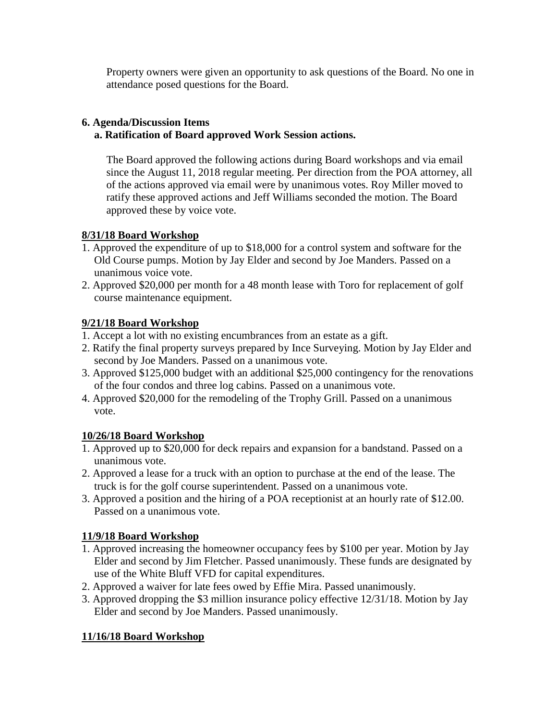Property owners were given an opportunity to ask questions of the Board. No one in attendance posed questions for the Board.

### **6. Agenda/Discussion Items**

## **a. Ratification of Board approved Work Session actions.**

The Board approved the following actions during Board workshops and via email since the August 11, 2018 regular meeting. Per direction from the POA attorney, all of the actions approved via email were by unanimous votes. Roy Miller moved to ratify these approved actions and Jeff Williams seconded the motion. The Board approved these by voice vote.

## **8/31/18 Board Workshop**

- 1. Approved the expenditure of up to \$18,000 for a control system and software for the Old Course pumps. Motion by Jay Elder and second by Joe Manders. Passed on a unanimous voice vote.
- 2. Approved \$20,000 per month for a 48 month lease with Toro for replacement of golf course maintenance equipment.

## **9/21/18 Board Workshop**

- 1. Accept a lot with no existing encumbrances from an estate as a gift.
- 2. Ratify the final property surveys prepared by Ince Surveying. Motion by Jay Elder and second by Joe Manders. Passed on a unanimous vote.
- 3. Approved \$125,000 budget with an additional \$25,000 contingency for the renovations of the four condos and three log cabins. Passed on a unanimous vote.
- 4. Approved \$20,000 for the remodeling of the Trophy Grill. Passed on a unanimous vote.

# **10/26/18 Board Workshop**

- 1. Approved up to \$20,000 for deck repairs and expansion for a bandstand. Passed on a unanimous vote.
- 2. Approved a lease for a truck with an option to purchase at the end of the lease. The truck is for the golf course superintendent. Passed on a unanimous vote.
- 3. Approved a position and the hiring of a POA receptionist at an hourly rate of \$12.00. Passed on a unanimous vote.

# **11/9/18 Board Workshop**

- 1. Approved increasing the homeowner occupancy fees by \$100 per year. Motion by Jay Elder and second by Jim Fletcher. Passed unanimously. These funds are designated by use of the White Bluff VFD for capital expenditures.
- 2. Approved a waiver for late fees owed by Effie Mira. Passed unanimously.
- 3. Approved dropping the \$3 million insurance policy effective 12/31/18. Motion by Jay Elder and second by Joe Manders. Passed unanimously.

# **11/16/18 Board Workshop**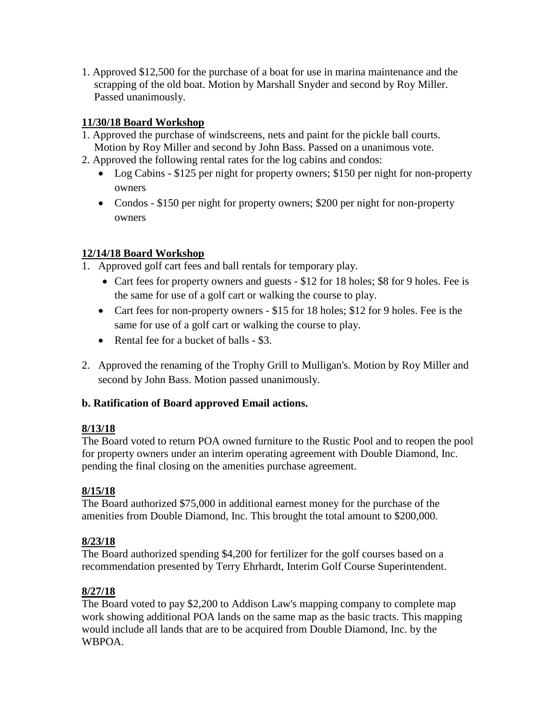1. Approved \$12,500 for the purchase of a boat for use in marina maintenance and the scrapping of the old boat. Motion by Marshall Snyder and second by Roy Miller. Passed unanimously.

## **11/30/18 Board Workshop**

- 1. Approved the purchase of windscreens, nets and paint for the pickle ball courts. Motion by Roy Miller and second by John Bass. Passed on a unanimous vote.
- 2. Approved the following rental rates for the log cabins and condos:
	- Log Cabins \$125 per night for property owners; \$150 per night for non-property owners
	- Condos \$150 per night for property owners; \$200 per night for non-property owners

## **12/14/18 Board Workshop**

- 1. Approved golf cart fees and ball rentals for temporary play.
	- Cart fees for property owners and guests \$12 for 18 holes; \$8 for 9 holes. Fee is the same for use of a golf cart or walking the course to play.
	- Cart fees for non-property owners \$15 for 18 holes; \$12 for 9 holes. Fee is the same for use of a golf cart or walking the course to play.
	- Rental fee for a bucket of balls \$3.
- 2. Approved the renaming of the Trophy Grill to Mulligan's. Motion by Roy Miller and second by John Bass. Motion passed unanimously.

# **b. Ratification of Board approved Email actions.**

## **8/13/18**

The Board voted to return POA owned furniture to the Rustic Pool and to reopen the pool for property owners under an interim operating agreement with Double Diamond, Inc. pending the final closing on the amenities purchase agreement.

# **8/15/18**

The Board authorized \$75,000 in additional earnest money for the purchase of the amenities from Double Diamond, Inc. This brought the total amount to \$200,000.

# **8/23/18**

The Board authorized spending \$4,200 for fertilizer for the golf courses based on a recommendation presented by Terry Ehrhardt, Interim Golf Course Superintendent.

# **8/27/18**

The Board voted to pay \$2,200 to Addison Law's mapping company to complete map work showing additional POA lands on the same map as the basic tracts. This mapping would include all lands that are to be acquired from Double Diamond, Inc. by the WBPOA.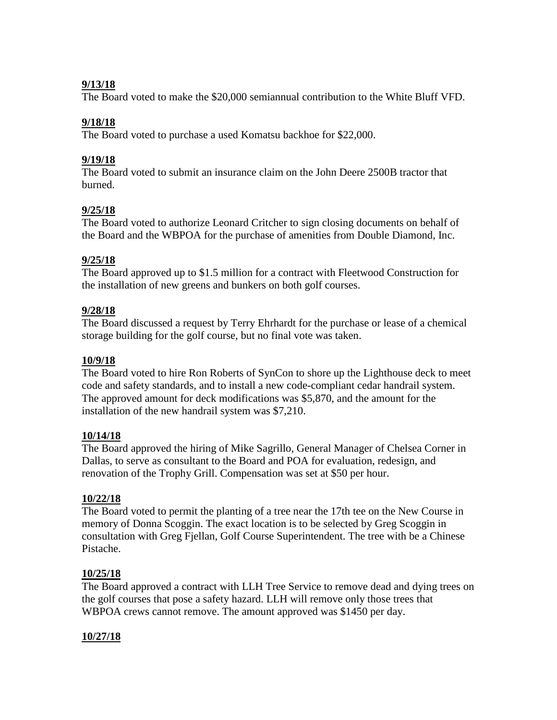### **9/13/18**

The Board voted to make the \$20,000 semiannual contribution to the White Bluff VFD.

### **9/18/18**

The Board voted to purchase a used Komatsu backhoe for \$22,000.

### **9/19/18**

The Board voted to submit an insurance claim on the John Deere 2500B tractor that burned.

### **9/25/18**

The Board voted to authorize Leonard Critcher to sign closing documents on behalf of the Board and the WBPOA for the purchase of amenities from Double Diamond, Inc.

### **9/25/18**

The Board approved up to \$1.5 million for a contract with Fleetwood Construction for the installation of new greens and bunkers on both golf courses.

### **9/28/18**

The Board discussed a request by Terry Ehrhardt for the purchase or lease of a chemical storage building for the golf course, but no final vote was taken.

### **10/9/18**

The Board voted to hire Ron Roberts of SynCon to shore up the Lighthouse deck to meet code and safety standards, and to install a new code-compliant cedar handrail system. The approved amount for deck modifications was \$5,870, and the amount for the installation of the new handrail system was \$7,210.

### **10/14/18**

The Board approved the hiring of Mike Sagrillo, General Manager of Chelsea Corner in Dallas, to serve as consultant to the Board and POA for evaluation, redesign, and renovation of the Trophy Grill. Compensation was set at \$50 per hour.

### **10/22/18**

The Board voted to permit the planting of a tree near the 17th tee on the New Course in memory of Donna Scoggin. The exact location is to be selected by Greg Scoggin in consultation with Greg Fjellan, Golf Course Superintendent. The tree with be a Chinese Pistache.

### **10/25/18**

The Board approved a contract with LLH Tree Service to remove dead and dying trees on the golf courses that pose a safety hazard. LLH will remove only those trees that WBPOA crews cannot remove. The amount approved was \$1450 per day.

### **10/27/18**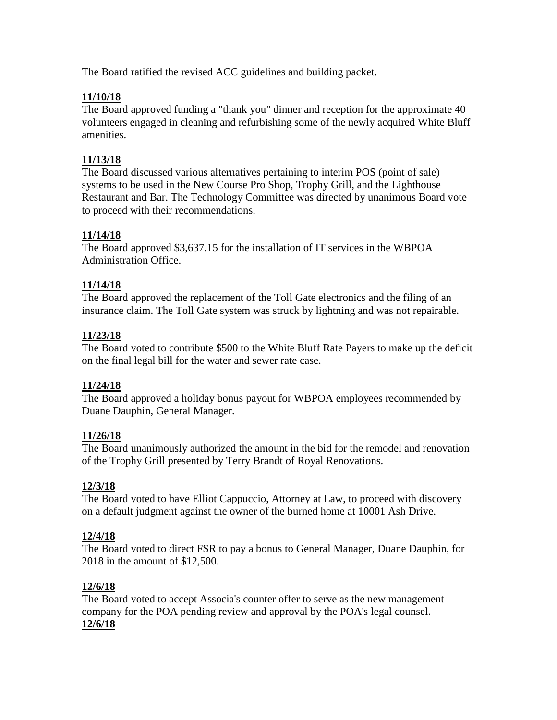The Board ratified the revised ACC guidelines and building packet.

### **11/10/18**

The Board approved funding a "thank you" dinner and reception for the approximate 40 volunteers engaged in cleaning and refurbishing some of the newly acquired White Bluff amenities.

### **11/13/18**

The Board discussed various alternatives pertaining to interim POS (point of sale) systems to be used in the New Course Pro Shop, Trophy Grill, and the Lighthouse Restaurant and Bar. The Technology Committee was directed by unanimous Board vote to proceed with their recommendations.

### **11/14/18**

The Board approved \$3,637.15 for the installation of IT services in the WBPOA Administration Office.

### **11/14/18**

The Board approved the replacement of the Toll Gate electronics and the filing of an insurance claim. The Toll Gate system was struck by lightning and was not repairable.

### **11/23/18**

The Board voted to contribute \$500 to the White Bluff Rate Payers to make up the deficit on the final legal bill for the water and sewer rate case.

### **11/24/18**

The Board approved a holiday bonus payout for WBPOA employees recommended by Duane Dauphin, General Manager.

### **11/26/18**

The Board unanimously authorized the amount in the bid for the remodel and renovation of the Trophy Grill presented by Terry Brandt of Royal Renovations.

### **12/3/18**

The Board voted to have Elliot Cappuccio, Attorney at Law, to proceed with discovery on a default judgment against the owner of the burned home at 10001 Ash Drive.

### **12/4/18**

The Board voted to direct FSR to pay a bonus to General Manager, Duane Dauphin, for 2018 in the amount of \$12,500.

### **12/6/18**

The Board voted to accept Associa's counter offer to serve as the new management company for the POA pending review and approval by the POA's legal counsel. **12/6/18**